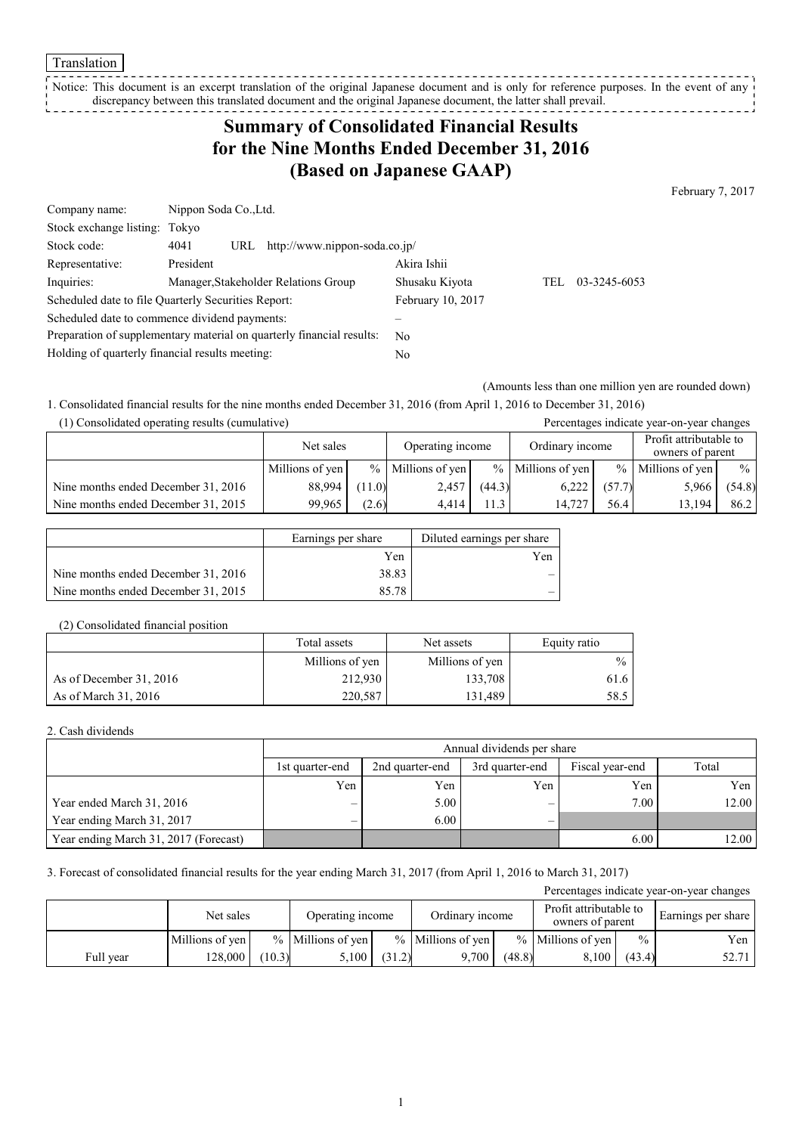Translation

Notice: This document is an excerpt translation of the original Japanese document and is only for reference purposes. In the event of any discrepancy between this translated document and the original Japanese document, the latter shall prevail. 

## **Summary of Consolidated Financial Results for the Nine Months Ended December 31, 2016 (Based on Japanese GAAP)**

February 7, 2017

| Company name:                                                         |           | Nippon Soda Co., Ltd. |                                      |                |      |              |  |
|-----------------------------------------------------------------------|-----------|-----------------------|--------------------------------------|----------------|------|--------------|--|
| Stock exchange listing: Tokyo                                         |           |                       |                                      |                |      |              |  |
| Stock code:                                                           | 4041      |                       | URL http://www.nippon-soda.co.jp/    |                |      |              |  |
| Representative:                                                       | President |                       |                                      | Akira Ishii    |      |              |  |
| Inquiries:                                                            |           |                       | Manager, Stakeholder Relations Group | Shusaku Kiyota | TEL. | 03-3245-6053 |  |
| Scheduled date to file Quarterly Securities Report:                   |           |                       | February 10, 2017                    |                |      |              |  |
| Scheduled date to commence dividend payments:                         |           |                       |                                      |                |      |              |  |
| Preparation of supplementary material on quarterly financial results: |           | No.                   |                                      |                |      |              |  |
| Holding of quarterly financial results meeting:                       |           |                       | N <sub>0</sub>                       |                |      |              |  |

(Amounts less than one million yen are rounded down)

1. Consolidated financial results for the nine months ended December 31, 2016 (from April 1, 2016 to December 31, 2016) (1) Consolidated operating results (cumulative) Percentages indicate year-on-year changes

| $(1)$ Consondated operating results (cumulative) |                 |                                     |                     |        |                                            |        | I creentages mureate year-on-year enamges |               |
|--------------------------------------------------|-----------------|-------------------------------------|---------------------|--------|--------------------------------------------|--------|-------------------------------------------|---------------|
|                                                  | Net sales       | Operating income<br>Ordinary income |                     |        | Profit attributable to<br>owners of parent |        |                                           |               |
|                                                  | Millions of yen |                                     | $%$ Millions of yen |        | $%$ Millions of yen                        |        | $%$ Millions of yen                       | $\frac{0}{0}$ |
| Nine months ended December 31, 2016              | 88.994          | (11.0)                              | 2,457               | (44.3) | 6,222                                      | (57.7) | 5,966                                     | (54.8)        |
| Nine months ended December 31, 2015              | 99.965          | (2.6)                               | 4.414               | 1.3    | 14.727                                     | 56.4   | 13.194                                    | 86.2          |

|                                     | Earnings per share | Diluted earnings per share |
|-------------------------------------|--------------------|----------------------------|
|                                     | Yen                | Yen                        |
| Nine months ended December 31, 2016 | 38.83              |                            |
| Nine months ended December 31, 2015 | 85.78              |                            |

#### (2) Consolidated financial position

|                         | Total assets<br>Net assets |                 | Equity ratio  |
|-------------------------|----------------------------|-----------------|---------------|
|                         | Millions of yen            | Millions of yen | $\frac{0}{0}$ |
| As of December 31, 2016 | 212,930                    | 133,708         | 61.6          |
| As of March 31, 2016    | 220.587                    | 131.489         | 58.5          |

#### 2. Cash dividends

|                                       |                 | Annual dividends per share |     |      |       |  |  |  |  |
|---------------------------------------|-----------------|----------------------------|-----|------|-------|--|--|--|--|
|                                       | 1st quarter-end | Total                      |     |      |       |  |  |  |  |
|                                       | Yen             | Yen                        | Yen | Yen  | Yen   |  |  |  |  |
| Year ended March 31, 2016             |                 | 5.00                       |     | 7.00 | 12.00 |  |  |  |  |
| Year ending March 31, 2017            |                 | 6.00                       | -   |      |       |  |  |  |  |
| Year ending March 31, 2017 (Forecast) |                 |                            |     | 6.00 | 12.00 |  |  |  |  |

#### 3. Forecast of consolidated financial results for the year ending March 31, 2017 (from April 1, 2016 to March 31, 2017)

| Percentages indicate year-on-year changes |                 |        |                     |        |                     |        |                     |               |                                            |  |                    |
|-------------------------------------------|-----------------|--------|---------------------|--------|---------------------|--------|---------------------|---------------|--------------------------------------------|--|--------------------|
|                                           | Net sales       |        | Operating income    |        | Ordinary income     |        |                     |               | Profit attributable to<br>owners of parent |  | Earnings per share |
|                                           | Millions of yen |        | $%$ Millions of yen |        | $%$ Millions of yen |        | $%$ Millions of yen | $\frac{0}{0}$ | Yen                                        |  |                    |
| Full year                                 | 128.000         | (10.3) | 5.100               | (31.2) | 9.700               | (48.8) | 8,100               | (43.4)        | 52.71                                      |  |                    |

1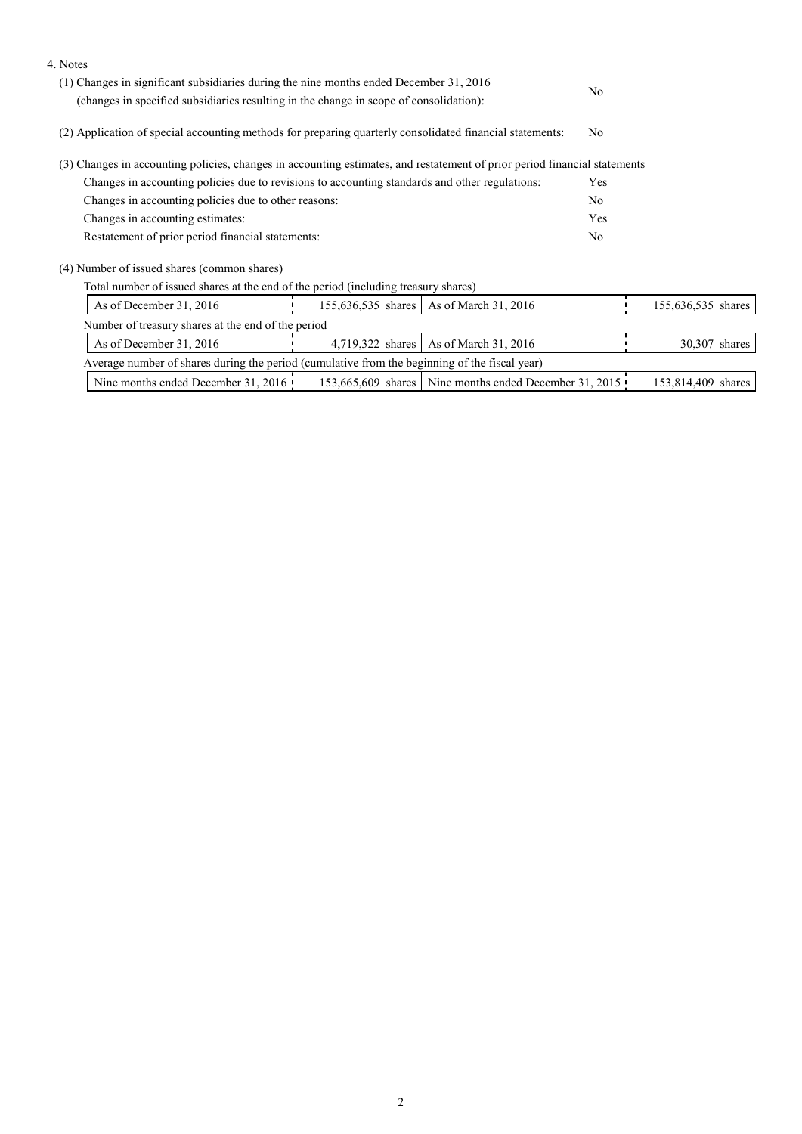| 4. Notes                                                                                                                                                                         |  |                                                        |     |                    |  |  |
|----------------------------------------------------------------------------------------------------------------------------------------------------------------------------------|--|--------------------------------------------------------|-----|--------------------|--|--|
| (1) Changes in significant subsidiaries during the nine months ended December 31, 2016<br>(changes in specified subsidiaries resulting in the change in scope of consolidation): |  | No                                                     |     |                    |  |  |
| (2) Application of special accounting methods for preparing quarterly consolidated financial statements:                                                                         |  | N <sub>0</sub>                                         |     |                    |  |  |
| (3) Changes in accounting policies, changes in accounting estimates, and restatement of prior period financial statements                                                        |  |                                                        |     |                    |  |  |
| Changes in accounting policies due to revisions to accounting standards and other regulations:                                                                                   |  |                                                        | Yes |                    |  |  |
| Changes in accounting policies due to other reasons:                                                                                                                             |  | N <sub>0</sub>                                         |     |                    |  |  |
| Changes in accounting estimates:                                                                                                                                                 |  | Yes                                                    |     |                    |  |  |
| Restatement of prior period financial statements:                                                                                                                                |  |                                                        |     |                    |  |  |
| (4) Number of issued shares (common shares)                                                                                                                                      |  |                                                        |     |                    |  |  |
| Total number of issued shares at the end of the period (including treasury shares)                                                                                               |  |                                                        |     |                    |  |  |
| As of December 31, 2016<br>155,636,535 shares   As of March 31, 2016                                                                                                             |  |                                                        |     | 155,636,535 shares |  |  |
| Number of treasury shares at the end of the period                                                                                                                               |  |                                                        |     |                    |  |  |
| As of March 31, 2016<br>As of December 31, 2016<br>4,719,322 shares                                                                                                              |  |                                                        |     | 30,307 shares      |  |  |
| Average number of shares during the period (cumulative from the beginning of the fiscal year)                                                                                    |  |                                                        |     |                    |  |  |
| Nine months ended December 31, 2016                                                                                                                                              |  | 153,665,609 shares Nine months ended December 31, 2015 |     | 153,814,409 shares |  |  |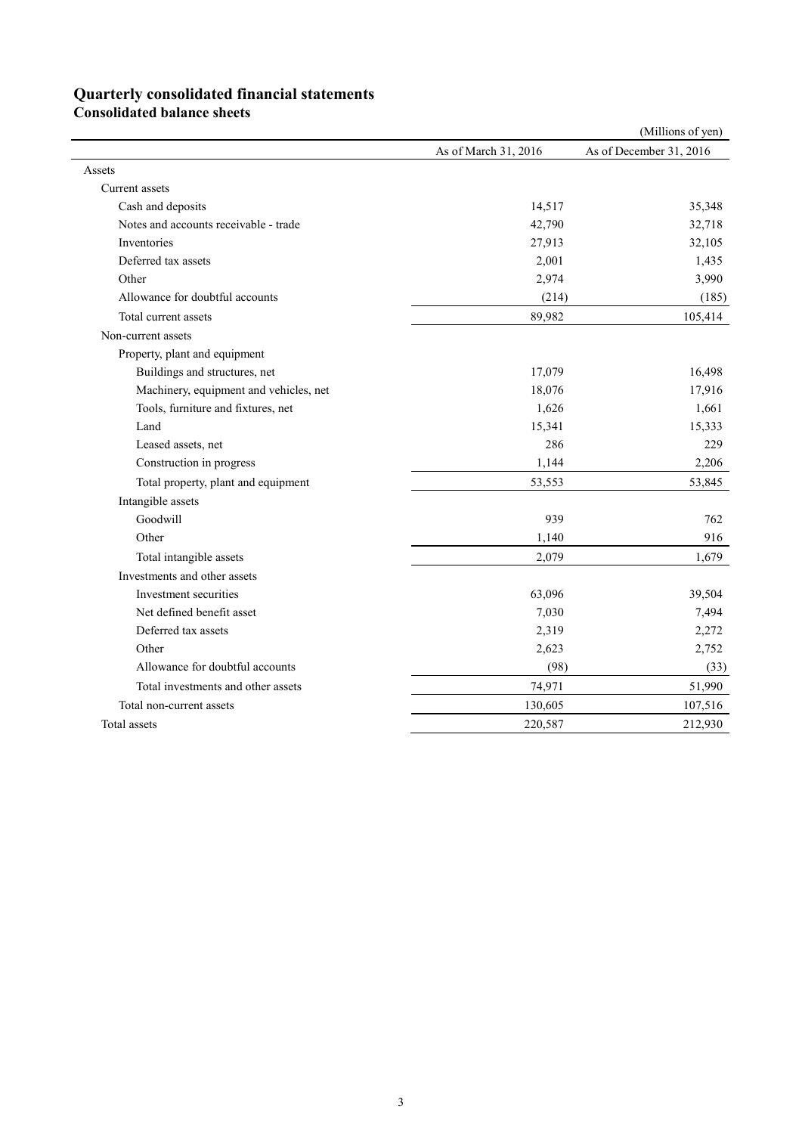# **Quarterly consolidated financial statements**

**Consolidated balance sheets** 

|                                        |                      | (Millions of yen)       |
|----------------------------------------|----------------------|-------------------------|
|                                        | As of March 31, 2016 | As of December 31, 2016 |
| Assets                                 |                      |                         |
| Current assets                         |                      |                         |
| Cash and deposits                      | 14,517               | 35,348                  |
| Notes and accounts receivable - trade  | 42,790               | 32,718                  |
| Inventories                            | 27,913               | 32,105                  |
| Deferred tax assets                    | 2,001                | 1,435                   |
| Other                                  | 2,974                | 3,990                   |
| Allowance for doubtful accounts        | (214)                | (185)                   |
| Total current assets                   | 89,982               | 105,414                 |
| Non-current assets                     |                      |                         |
| Property, plant and equipment          |                      |                         |
| Buildings and structures, net          | 17,079               | 16,498                  |
| Machinery, equipment and vehicles, net | 18,076               | 17,916                  |
| Tools, furniture and fixtures, net     | 1,626                | 1,661                   |
| Land                                   | 15,341               | 15,333                  |
| Leased assets, net                     | 286                  | 229                     |
| Construction in progress               | 1,144                | 2,206                   |
| Total property, plant and equipment    | 53,553               | 53,845                  |
| Intangible assets                      |                      |                         |
| Goodwill                               | 939                  | 762                     |
| Other                                  | 1,140                | 916                     |
| Total intangible assets                | 2,079                | 1,679                   |
| Investments and other assets           |                      |                         |
| Investment securities                  | 63,096               | 39,504                  |
| Net defined benefit asset              | 7,030                | 7,494                   |
| Deferred tax assets                    | 2,319                | 2,272                   |
| Other                                  | 2,623                | 2,752                   |
| Allowance for doubtful accounts        | (98)                 | (33)                    |
| Total investments and other assets     | 74,971               | 51,990                  |
| Total non-current assets               | 130,605              | 107,516                 |
| Total assets                           | 220,587              | 212,930                 |
|                                        |                      |                         |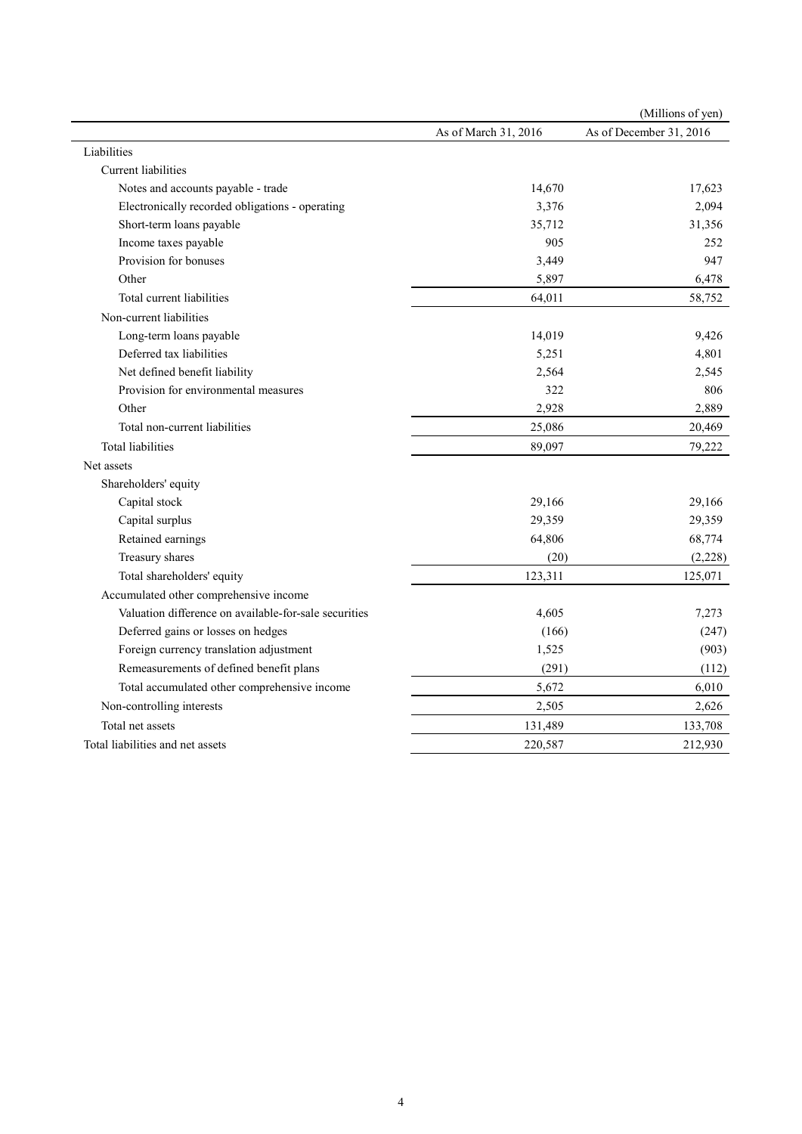|                                                       |                      | (Millions of yen)       |
|-------------------------------------------------------|----------------------|-------------------------|
|                                                       | As of March 31, 2016 | As of December 31, 2016 |
| Liabilities                                           |                      |                         |
| Current liabilities                                   |                      |                         |
| Notes and accounts payable - trade                    | 14,670               | 17,623                  |
| Electronically recorded obligations - operating       | 3,376                | 2,094                   |
| Short-term loans payable                              | 35,712               | 31,356                  |
| Income taxes payable                                  | 905                  | 252                     |
| Provision for bonuses                                 | 3,449                | 947                     |
| Other                                                 | 5,897                | 6,478                   |
| Total current liabilities                             | 64,011               | 58,752                  |
| Non-current liabilities                               |                      |                         |
| Long-term loans payable                               | 14,019               | 9,426                   |
| Deferred tax liabilities                              | 5,251                | 4,801                   |
| Net defined benefit liability                         | 2,564                | 2,545                   |
| Provision for environmental measures                  | 322                  | 806                     |
| Other                                                 | 2,928                | 2,889                   |
| Total non-current liabilities                         | 25,086               | 20,469                  |
| <b>Total liabilities</b>                              | 89,097               | 79,222                  |
| Net assets                                            |                      |                         |
| Shareholders' equity                                  |                      |                         |
| Capital stock                                         | 29,166               | 29,166                  |
| Capital surplus                                       | 29,359               | 29,359                  |
| Retained earnings                                     | 64,806               | 68,774                  |
| Treasury shares                                       | (20)                 | (2,228)                 |
| Total shareholders' equity                            | 123,311              | 125,071                 |
| Accumulated other comprehensive income                |                      |                         |
| Valuation difference on available-for-sale securities | 4,605                | 7,273                   |
| Deferred gains or losses on hedges                    | (166)                | (247)                   |
| Foreign currency translation adjustment               | 1,525                | (903)                   |
| Remeasurements of defined benefit plans               | (291)                | (112)                   |
| Total accumulated other comprehensive income          | 5,672                | 6,010                   |
| Non-controlling interests                             | 2,505                | 2,626                   |
| Total net assets                                      | 131,489              | 133,708                 |
| Total liabilities and net assets                      | 220,587              | 212,930                 |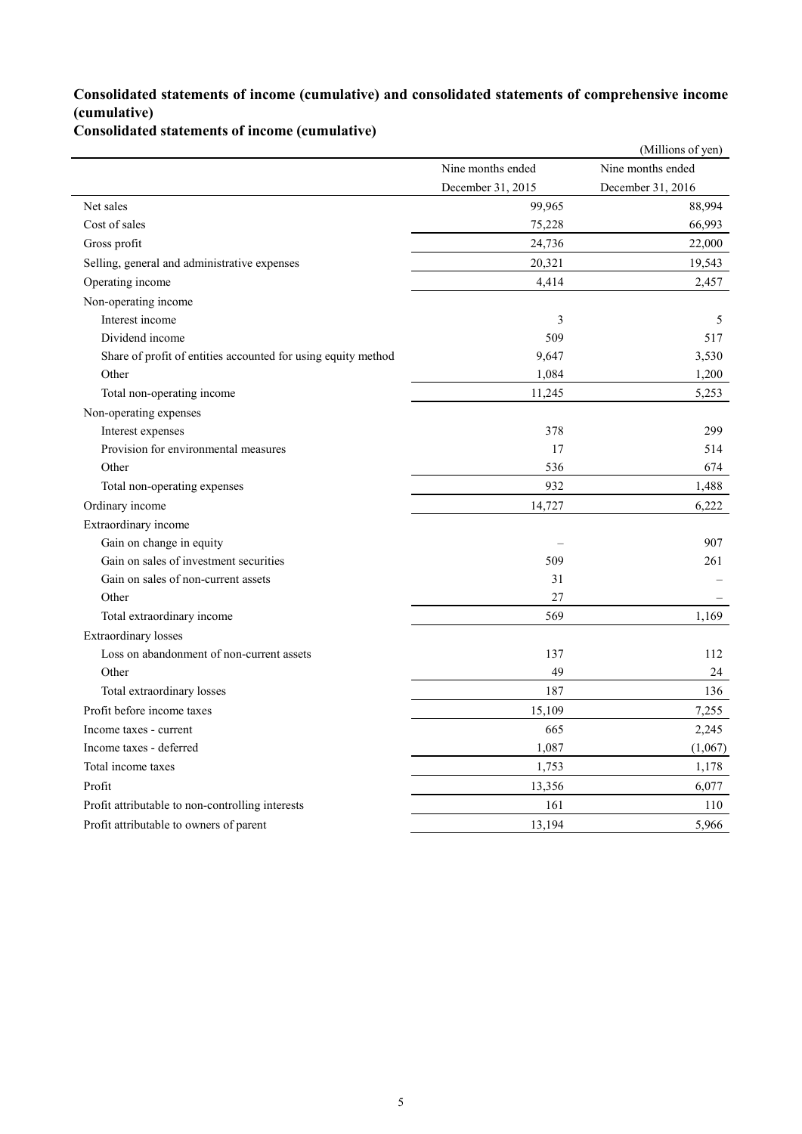### **Consolidated statements of income (cumulative) and consolidated statements of comprehensive income (cumulative)**

**Consolidated statements of income (cumulative)**

|                                                               |                   | (Millions of yen) |
|---------------------------------------------------------------|-------------------|-------------------|
|                                                               | Nine months ended | Nine months ended |
|                                                               | December 31, 2015 | December 31, 2016 |
| Net sales                                                     | 99,965            | 88,994            |
| Cost of sales                                                 | 75,228            | 66,993            |
| Gross profit                                                  | 24,736            | 22,000            |
| Selling, general and administrative expenses                  | 20,321            | 19,543            |
| Operating income                                              | 4,414             | 2,457             |
| Non-operating income                                          |                   |                   |
| Interest income                                               | 3                 | 5                 |
| Dividend income                                               | 509               | 517               |
| Share of profit of entities accounted for using equity method | 9,647             | 3,530             |
| Other                                                         | 1,084             | 1,200             |
| Total non-operating income                                    | 11,245            | 5,253             |
| Non-operating expenses                                        |                   |                   |
| Interest expenses                                             | 378               | 299               |
| Provision for environmental measures                          | 17                | 514               |
| Other                                                         | 536               | 674               |
| Total non-operating expenses                                  | 932               | 1,488             |
| Ordinary income                                               | 14,727            | 6,222             |
| Extraordinary income                                          |                   |                   |
| Gain on change in equity                                      |                   | 907               |
| Gain on sales of investment securities                        | 509               | 261               |
| Gain on sales of non-current assets                           | 31                |                   |
| Other                                                         | 27                |                   |
| Total extraordinary income                                    | 569               | 1,169             |
| Extraordinary losses                                          |                   |                   |
| Loss on abandonment of non-current assets                     | 137               | 112               |
| Other                                                         | 49                | 24                |
| Total extraordinary losses                                    | 187               | 136               |
| Profit before income taxes                                    | 15,109            | 7,255             |
| Income taxes - current                                        | 665               | 2,245             |
| Income taxes - deferred                                       | 1,087             | (1,067)           |
| Total income taxes                                            | 1,753             | 1,178             |
| Profit                                                        | 13,356            | 6,077             |
| Profit attributable to non-controlling interests              | 161               | 110               |
| Profit attributable to owners of parent                       | 13,194            | 5,966             |